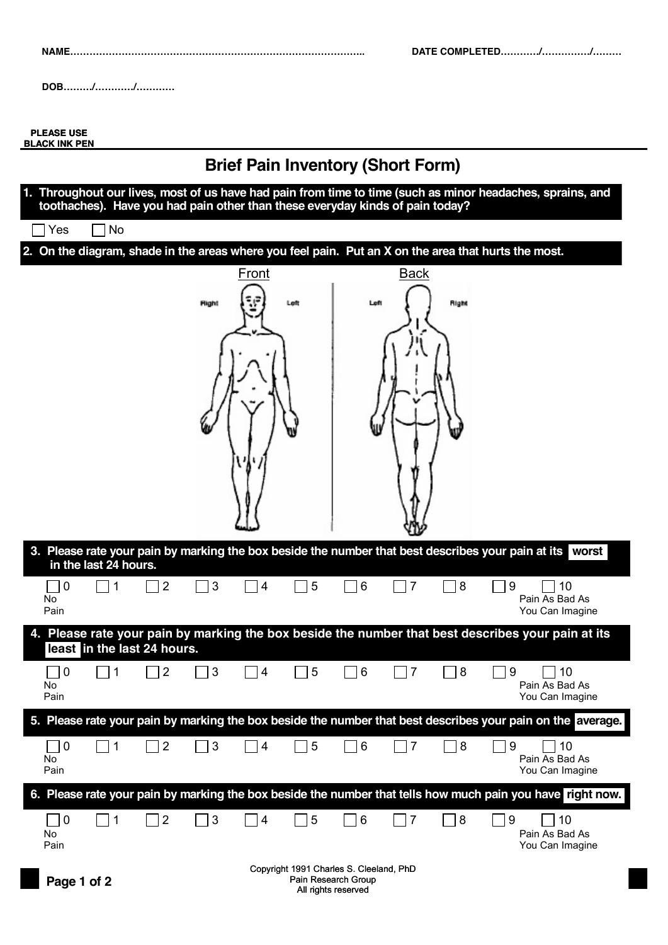**(month) (day) (year)** 1903 **DOB………/…………/…………**

**PLEASE USE BLACK INK PEN**

## **Brief Pain Inventory (Short Form) 1. Throughout our lives, most of us have had pain from time to time (such as minor headaches, sprains, and toothaches). Have you had pain other than these everyday kinds of pain today?**  $\sqcap$  Yes  $\Box$  No **2. On the diagram, shade in the areas where you feel pain. Put an X on the area that hurts the most.** Front Back Left Right Right Left **3. Please rate your pain by marking the box beside the number that best describes your pain at its worst in the last 24 hours.** 0 | 1 | | 2 | | 3 | | 4 | | 5 | | 6 | | 7 | | 8 | | 9 | | 10 Pain As Bad As No Pain You Can Imagine **4. Please rate your pain by marking the box beside the number that best describes your pain at its least in the last 24 hours.** 0 | 1 | | 2 | | 3 | | 4 | | 5 | | 6 | | 7 | | 8 | | 9 | | 10 No Pain As Bad As Pain You Can Imagine **5. Please rate your pain by marking the box beside the number that best describes your pain on the average.** 0 | 1 | | 2 | | 3 | | 4 | | 5 | | 6 | | 7 | | 8 | | 9 | | 10 No Pain As Bad As Pain You Can Imagine **6. Please rate your pain by marking the box beside the number that tells how much pain you have right now.** 0 | 1 | | 2 | | 3 | | 4 | | 5 | | 6 | | 7 | | 8 | | 9 | | 10 Pain As Bad As No Pain You Can Imagine Copyright 1991 Charles S. Cleeland, PhD **Page 1 of 2** Pain Research Group

All rights reserved